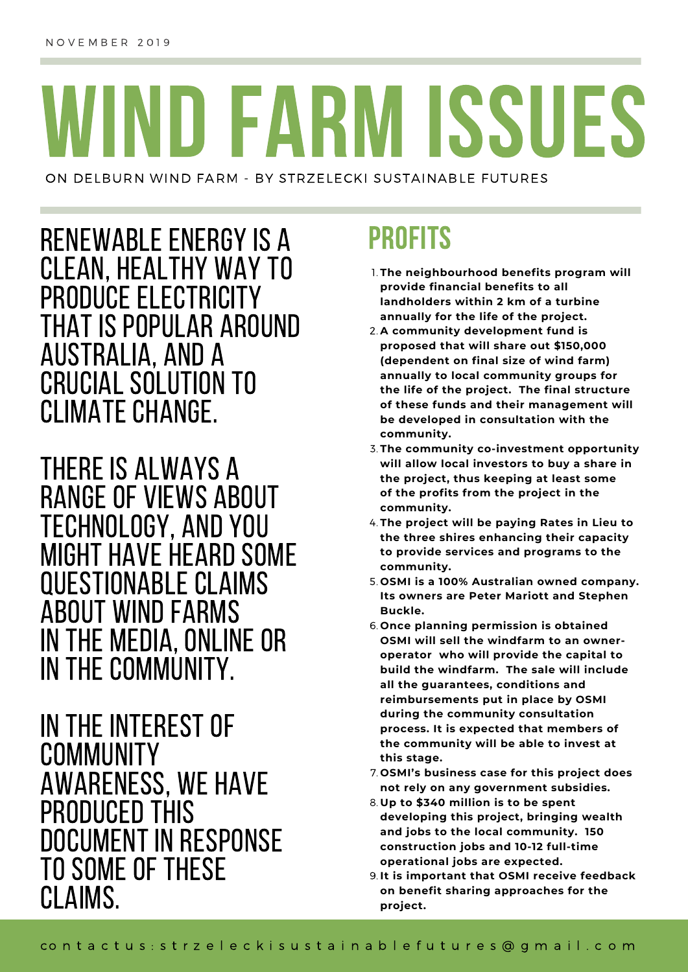# WIND FARM ISSUES

ON DELBURN WIND FARM - BY STRZELECKI SUSTAINABLE FUTURES

RENEWABLE ENERGY IS A PROFITS CLEAN, HEALTHY WAY TO PRODUCE ELECTRICITY THAT IS POPULAR AROUND AUSTRALIA, AND A CRUCIAL SOLUTION TO CLIMATE CHANGE.

THERE IS ALWAYS A RANGE OF VIEWS ABOUT TECHNOLOGY, AND YOU MIGHT HAVE HEARD SOME QUESTIONABLE CLAIMS ABOUT WINDFARMS IN THE MEDIA, ONLINE OR IN THE COMMUNITY.

IN THE INTEREST OF COMMUNITY AWARENESS, WE HAVE PRODUCED THIS DOCUMENT IN RESPONSE TO SOME OF THESE CLAIMS.

- **The neighbourhood benefits program will** 1. **provide financial benefits to all landholders within 2 km of a turbine annually for the life of the project.**
- **A community development fund is** 2. **proposed that will share out \$150,000 (dependent on final size of wind farm) annually to local community groups for the life of the project. The final structure of these funds and their management will be developed in consultation with the community.**
- **The community co-investment opportunity** 3. **will allow local investors to buy a share in the project, thus keeping at least some of the profits from the project in the community.**
- **The project will be paying Rates in Lieu to** 4. **the three shires enhancing their capacity to provide services and programs to the community.**
- **OSMI is a 100% Australian owned company.** 5. **Its owners are Peter Mariott and Stephen Buckle.**
- **Once planning permission is obtained** 6. **OSMI will sell the windfarm to an owneroperator who will provide the capital to build the windfarm. The sale will include all the guarantees, conditions and reimbursements put in place by OSMI during the community consultation process. It is expected that members of the community will be able to invest at this stage.**
- **OSMI's business case for this project does** 7. **not rely on any government subsidies.**
- **Up to \$340 million is to be spent** 8. **developing this project, bringing wealth and jobs to the local community. 150 construction jobs and 10-12 full-time operational jobs are expected.**
- **It is important that OSMI receive feedback** 9. **on benefit sharing approaches for the project.**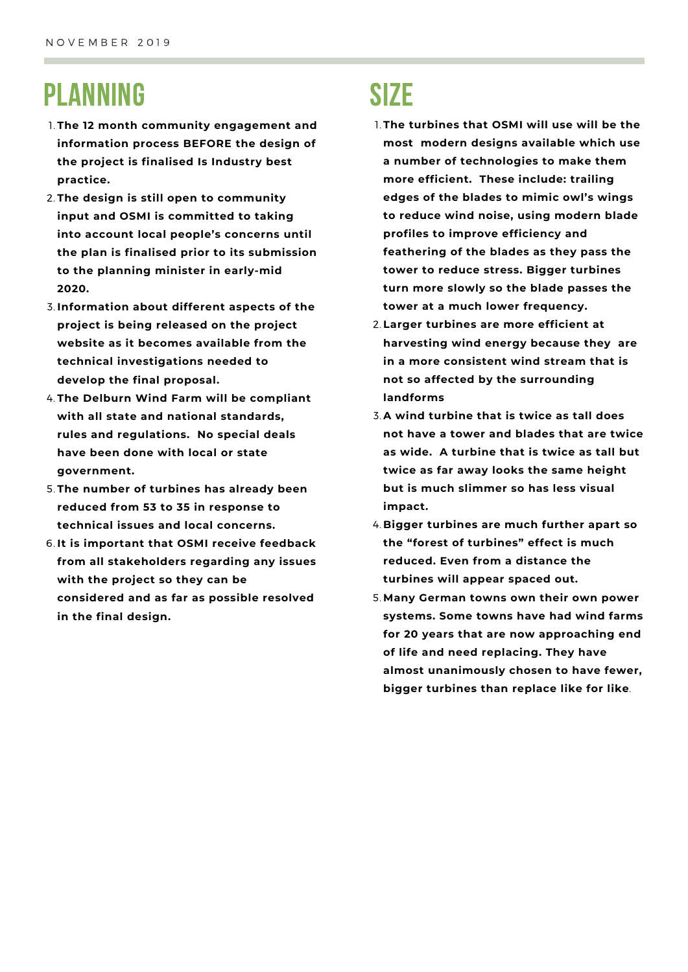#### PLANNING

- **The 12 month community engagement and** 1. **information process BEFORE the design of the project is finalised Is Industry best practice.**
- **The design is still open to community** 2. **input and OSMI is committed to taking into account local people's concerns until the plan is finalised prior to its submission to the planning minister in early-mid 2020.**
- **Information about different aspects of the** 3. **project is being released on the project website as it becomes available from the technical investigations needed to develop the final proposal.**
- **The Delburn Wind Farm will be compliant** 4. **with all state and national standards, rules and regulations. No special deals have been done with local or state government.**
- **The number of turbines has already been** 5. **reduced from 53 to 35 in response to technical issues and local concerns.**
- **It is important that OSMI receive feedback** 6. **from all stakeholders regarding any issues with the project so they can be considered and as far as possible resolved in the final design.**

#### **SIZE**

- **The turbines that OSMI will use will be the** 1. **most modern designs available which use a number of technologies to make them more efficient. These include: trailing edges of the blades to mimic owl's wings to reduce wind noise, using modern blade profiles to improve efficiency and feathering of the blades as they pass the tower to reduce stress. Bigger turbines turn more slowly so the blade passes the tower at a much lower frequency.**
- **Larger turbines are more efficient at** 2. **harvesting wind energy because they are in a more consistent wind stream that is not so affected by the surrounding landforms**
- **A wind turbine that is twice as tall does** 3. **not have a tower and blades that are twice as wide. A turbine that is twice as tall but twice as far away looks the same height but is much slimmer so has less visual impact.**
- **Bigger turbines are much further apart so** 4. **the "forest of turbines" effect is much reduced. Even from a distance the turbines will appear spaced out.**
- **Many German towns own their own power** 5.**systems. Some towns have had wind farms for 20 years that are now approaching end of life and need replacing. They have almost unanimously chosen to have fewer, bigger turbines than replace like for like**.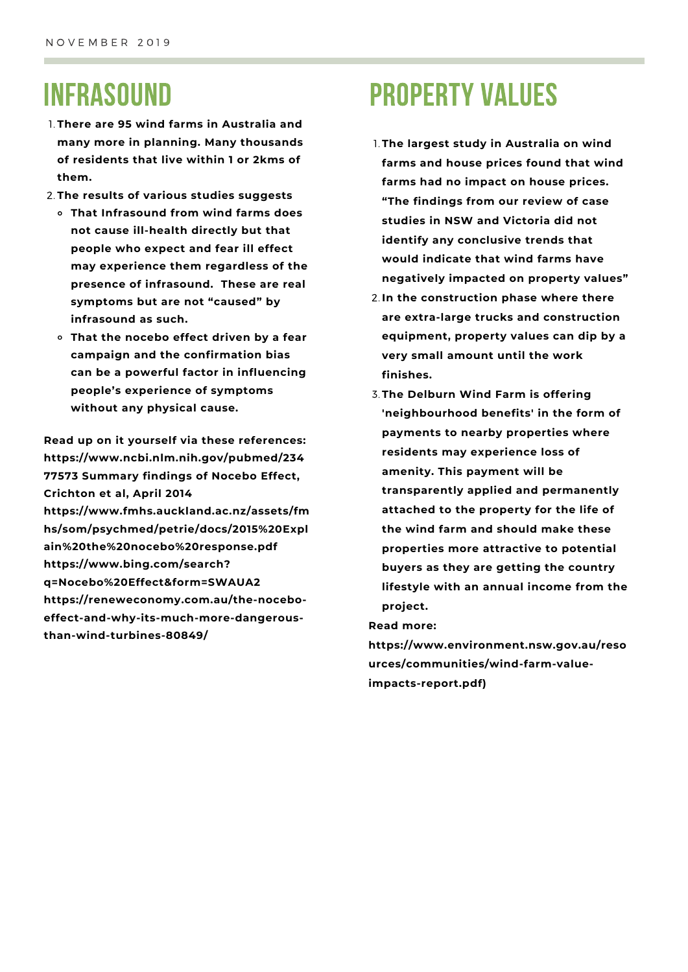### INFRASOUND

- **There are 95 wind farms in Australia and** 1. **many more in planning. Many thousands of residents that live within 1 or 2kms of them.**
- **The results of various studies suggests** 2.
	- **That Infrasound from wind farms does not cause ill-health directly but that people who expect and fear ill effect may experience them regardless of the presence of infrasound. These are real symptoms but are not "caused" by infrasound as such.**
	- **That the nocebo effect driven by a fear campaign and the confirmation bias can be a powerful factor in influencing people's experience of symptoms without any physical cause.**

**Read up on it yourself via these references: https://www.ncbi.nlm.nih.gov/pubmed/234 77573 Summary findings of Nocebo Effect, Crichton et al, April 2014 https://www.fmhs.auckland.ac.nz/assets/fm hs/som/psychmed/petrie/docs/2015%20Expl ain%20the%20nocebo%20response.pdf https://www.bing.com/search? q=Nocebo%20Effect&form=SWAUA2 https://reneweconomy.com.au/the-noceboeffect-and-why-its-much-more-dangerousthan-wind-turbines-80849/**

# PROPERTY VALUES

- **The largest study in Australia on wind** 1. **farms and house prices found that wind farms had no impact on house prices. "The findings from our review of case studies in NSW and Victoria did not identify any conclusive trends that would indicate that wind farms have negatively impacted on property values"**
- **In the construction phase where there** 2. **are extra-large trucks and construction equipment, property values can dip by a very small amount until the work finishes.**
- **The Delburn Wind Farm is offering** 3. **'neighbourhood benefits' in the form of payments to nearby properties where residents may experience loss of amenity. This payment will be transparently applied and permanently attached to the property for the life of the wind farm and should make these properties more attractive to potential buyers as they are getting the country lifestyle with an annual income from the project.**

**Read more:**

**https://www.environment.nsw.gov.au/reso urces/communities/wind-farm-valueimpacts-report.pdf)**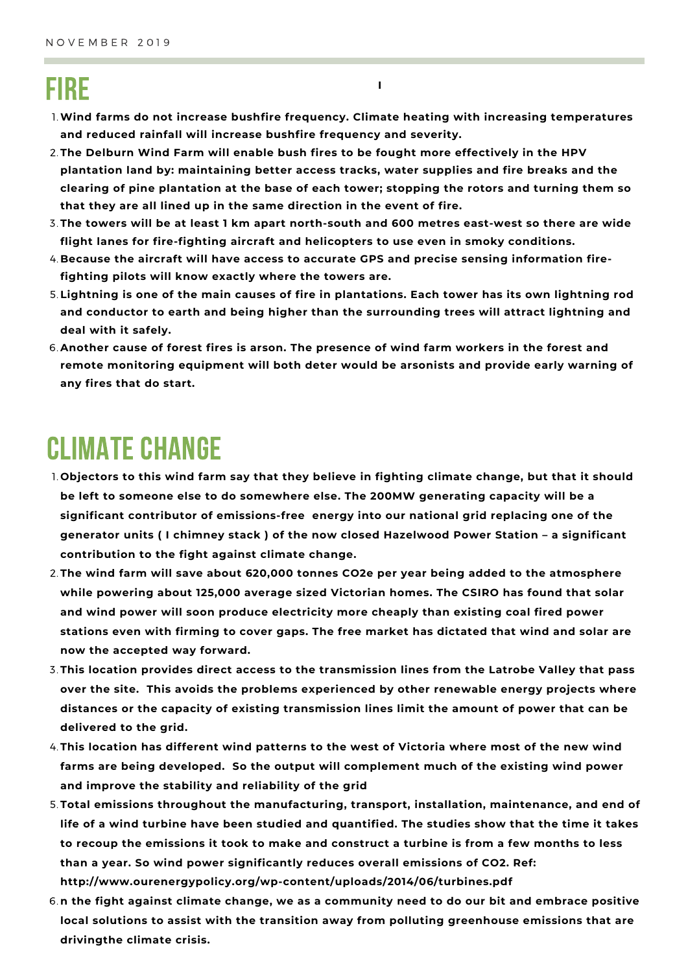### FIRE

**Wind farms do not increase bushfire frequency. Climate heating with increasing temperatures** 1. **and reduced rainfall will increase bushfire frequency and severity.**

**I**

- **The Delburn Wind Farm will enable bush fires to be fought more effectively in the HPV** 2. **plantation land by: maintaining better access tracks, water supplies and fire breaks and the clearing of pine plantation at the base of each tower; stopping the rotors and turning them so that they are all lined up in the same direction in the event of fire.**
- **The towers will be at least 1 km apart north-south and 600 metres east-west so there are wide** 3. **flight lanes for fire-fighting aircraft and helicopters to use even in smoky conditions.**
- **Because the aircraft will have access to accurate GPS and precise sensing information fire-**4. **fighting pilots will know exactly where the towers are.**
- 5. Lightning is one of the main causes of fire in plantations. Each tower has its own lightning rod **and conductor to earth and being higher than the surrounding trees will attract lightning and deal with it safely.**
- **Another cause of forest fires is arson. The presence of wind farm workers in the forest and** 6. **remote monitoring equipment will both deter would be arsonists and provide early warning of any fires that do start.**

#### CLIMATE CHANGE

- **Objectors to this wind farm say that they believe in fighting climate change, but that it should** 1. **be left to someone else to do somewhere else. The 200MW generating capacity will be a significant contributor of emissions-free energy into our national grid replacing one of the generator units ( I chimney stack ) of the now closed Hazelwood Power Station – a significant contribution to the fight against climate change.**
- **The wind farm will save about 620,000 tonnes CO2e per year being added to the atmosphere** 2. **while powering about 125,000 average sized Victorian homes. The CSIRO has found that solar and wind power will soon produce electricity more cheaply than existing coal fired power stations even with firming to cover gaps. The free market has dictated that wind and solar are now the accepted way forward.**
- **This location provides direct access to the transmission lines from the Latrobe Valley that pass** 3. **over the site. This avoids the problems experienced by other renewable energy projects where distances or the capacity of existing transmission lines limit the amount of power that can be delivered to the grid.**
- **This location has different wind patterns to the west of Victoria where most of the new wind** 4. **farms are being developed. So the output will complement much of the existing wind power and improve the stability and reliability of the grid**
- **Total emissions throughout the manufacturing, transport, installation, maintenance, and end of** 5. **life of a wind turbine have been studied and quantified. The studies show that the time it takes** to recoup the emissions it took to make and construct a turbine is from a few months to less **than a year. So wind power significantly reduces overall emissions of CO2. Ref: http://www.ourenergypolicy.org/wp-content/uploads/2014/06/turbines.pdf**
- **n the fight against climate change, we as a community need to do our bit and embrace positive** 6. **local solutions to assist with the transition away from polluting greenhouse emissions that are drivingthe climate crisis.**